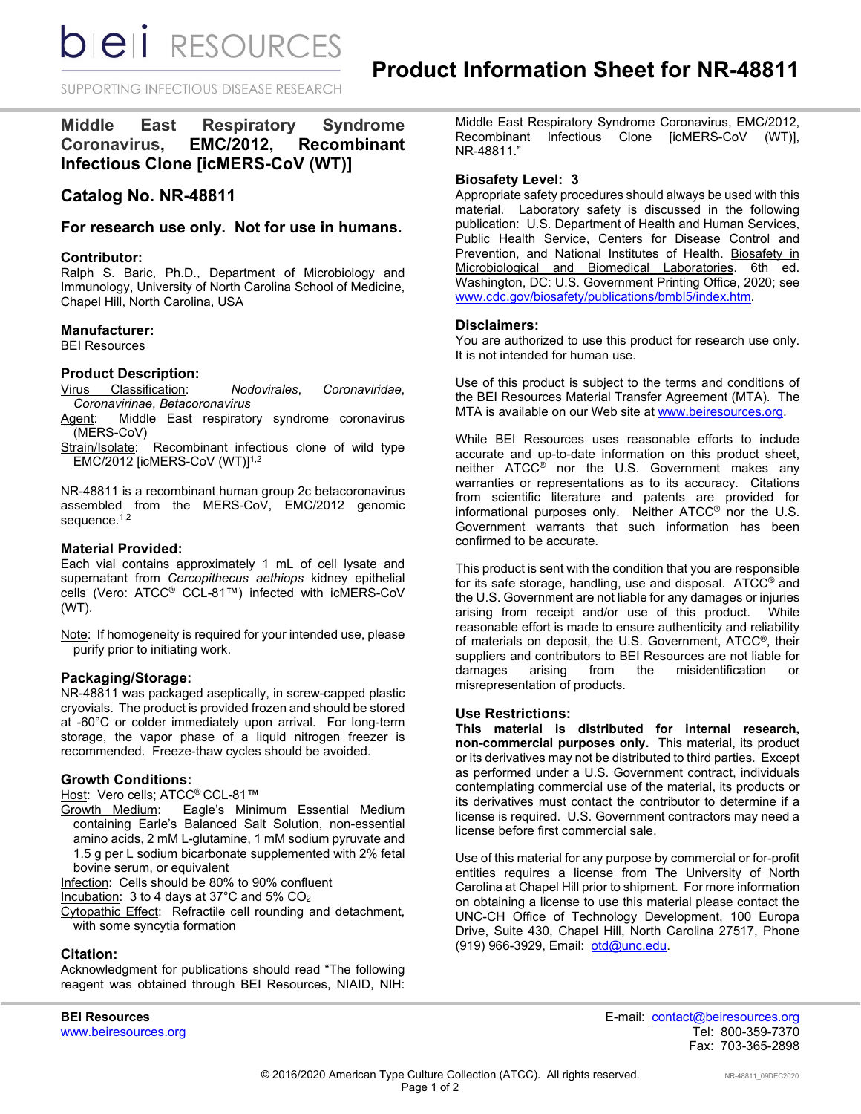**bieli** RESOURCES

SUPPORTING INFECTIOUS DISEASE RESEARCH

**Middle East Respiratory Syndrome Coronavirus, EMC/2012, Recombinant Infectious Clone [icMERS-CoV (WT)]** 

# **Catalog No. NR-48811**

# **For research use only. Not for use in humans.**

#### **Contributor:**

Ralph S. Baric, Ph.D., Department of Microbiology and Immunology, University of North Carolina School of Medicine, Chapel Hill, North Carolina, USA

#### **Manufacturer:**

BEI Resources

#### **Product Description:**

Virus Classification: *Nodovirales*, *Coronaviridae*, *Coronavirinae*, *Betacoronavirus*

Agent: Middle East respiratory syndrome coronavirus (MERS-CoV)

Strain/Isolate: Recombinant infectious clone of wild type EMC/2012 [icMERS-CoV (WT)] 1,2

NR-48811 is a recombinant human group 2c betacoronavirus assembled from the MERS-CoV, EMC/2012 genomic sequence. 1,2

### **Material Provided:**

Each vial contains approximately 1 mL of cell lysate and supernatant from *Cercopithecus aethiops* kidney epithelial cells (Vero: ATCC® CCL-81™) infected with icMERS-CoV (WT).

Note: If homogeneity is required for your intended use, please purify prior to initiating work.

# **Packaging/Storage:**

NR-48811 was packaged aseptically, in screw-capped plastic cryovials. The product is provided frozen and should be stored at -60°C or colder immediately upon arrival. For long-term storage, the vapor phase of a liquid nitrogen freezer is recommended. Freeze-thaw cycles should be avoided.

#### **Growth Conditions:**

Host: Vero cells; ATCC® CCL-81™

Growth Medium: Eagle's Minimum Essential Medium containing Earle's Balanced Salt Solution, non-essential amino acids, 2 mM L-glutamine, 1 mM sodium pyruvate and 1.5 g per L sodium bicarbonate supplemented with 2% fetal bovine serum, or equivalent

Infection: Cells should be 80% to 90% confluent

Incubation: 3 to 4 days at 37°C and 5% CO2

Cytopathic Effect: Refractile cell rounding and detachment, with some syncytia formation

# **Citation:**

Acknowledgment for publications should read "The following reagent was obtained through BEI Resources, NIAID, NIH:

Middle East Respiratory Syndrome Coronavirus, EMC/2012, Recombinant Infectious Clone [icMERS-CoV (WT)], NR-48811."

### **Biosafety Level: 3**

Appropriate safety procedures should always be used with this material. Laboratory safety is discussed in the following publication: U.S. Department of Health and Human Services, Public Health Service, Centers for Disease Control and Prevention, and National Institutes of Health. Biosafety in Microbiological and Biomedical Laboratories. 6th ed. Washington, DC: U.S. Government Printing Office, 2020; see [www.cdc.gov/biosafety/publications/bmbl5/index.htm.](http://www.cdc.gov/biosafety/publications/bmbl5/index.htm)

#### **Disclaimers:**

You are authorized to use this product for research use only. It is not intended for human use.

Use of this product is subject to the terms and conditions of the BEI Resources Material Transfer Agreement (MTA). The MTA is available on our Web site at [www.beiresources.org.](http://www.beiresources.org/)

While BEI Resources uses reasonable efforts to include accurate and up-to-date information on this product sheet, neither ATCC® nor the U.S. Government makes any warranties or representations as to its accuracy. Citations from scientific literature and patents are provided for informational purposes only. Neither ATCC® nor the U.S. Government warrants that such information has been confirmed to be accurate.

This product is sent with the condition that you are responsible for its safe storage, handling, use and disposal. ATCC® and the U.S. Government are not liable for any damages or injuries arising from receipt and/or use of this product. While reasonable effort is made to ensure authenticity and reliability of materials on deposit, the U.S. Government, ATCC®, their suppliers and contributors to BEI Resources are not liable for damages arising from the misidentification or misrepresentation of products.

#### **Use Restrictions:**

**This material is distributed for internal research, non-commercial purposes only.** This material, its product or its derivatives may not be distributed to third parties. Except as performed under a U.S. Government contract, individuals contemplating commercial use of the material, its products or its derivatives must contact the contributor to determine if a license is required. U.S. Government contractors may need a license before first commercial sale.

Use of this material for any purpose by commercial or for-profit entities requires a license from The University of North Carolina at Chapel Hill prior to shipment. For more information on obtaining a license to use this material please contact the UNC-CH Office of Technology Development, 100 Europa Drive, Suite 430, Chapel Hill, North Carolina 27517, Phone (919) 966-3929, Email: [otd@unc.edu.](mailto:otd@unc.edu)

www.beiresources.org

**BEI Resources** E-mail: contact@beiresources.org Fax: 703-365-2898